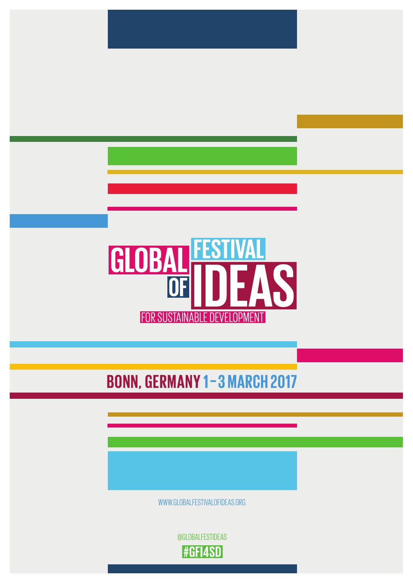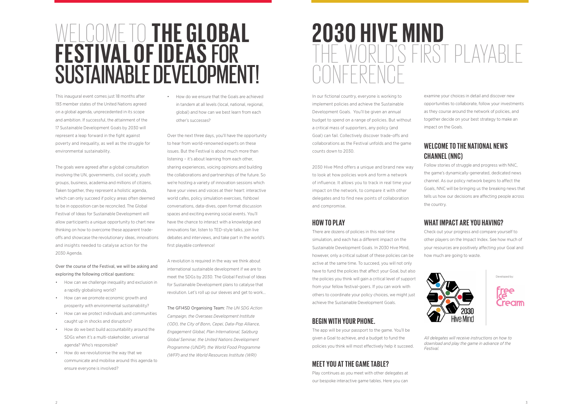## **2030 HIVE MIND** WORLD'S FIRST PLAYABLE  $NFFRFN$

## WELCOME TO **THE GLOBAL FESTIVAL OF IDEAS** FOR SUSTAINABLE DEVELOPMENT!

This inaugural event comes just 18 months after 193 member states of the United Nations agreed on a global agenda, unprecedented in its scope and ambition. If successful, the attainment of the 17 Sustainable Development Goals by 2030 will represent a leap forward in the fight against poverty and inequality, as well as the struggle for environmental sustainability.

The goals were agreed after a global consultation involving the UN, governments, civil society, youth groups, business, academia and millions of citizens. Taken together, they represent a holistic agenda, which can only succeed if policy areas often deemed to be in opposition can be reconciled. The Global Festival of Ideas for Sustainable Development will allow participants a unique opportunity to chart new thinking on how to overcome these apparent tradeoffs and showcase the revolutionary ideas, innovations and insights needed to catalyse action for the 2030 Agenda.

Over the course of the Festival, we will be asking and exploring the following critical questions:

- How can we challenge inequality and exclusion in a rapidly globalising world?
- How can we promote economic growth and prosperity with environmental sustainability?
- How can we protect individuals and communities caught up in shocks and disruptors?
- How do we best build accountability around the SDGs when it's a multi-stakeholder, universal agenda? Who's responsible?
- How do we revolutionise the way that we communicate and mobilise around this agenda to ensure everyone is involved?

• How do we ensure that the Goals are achieved in tandem at all levels (local, national, regional, global) and how can we best learn from each other's successes?

> Follow stories of struggle and progress with NNC. the game's dynamically-generated, dedicated news channel. As our policy network begins to affect the Goals, NNC will be bringing us the breaking news that tells us how our decisions are affecting people across the country.

Over the next three days, you'll have the opportunity to hear from world-renowned experts on these issues. But the Festival is about much more than listening – it's about learning from each other, sharing experiences, voicing opinions and building the collaborations and partnerships of the future. So we're hosting a variety of innovation sessions which have your views and voices at their heart: interactive world cafes, policy simulation exercises, fishbowl conversations, data-dives, open format discussion spaces and exciting evening social events. You'll have the chance to interact with a knowledge and innovations fair, listen to TED-style talks, join live debates and interviews, and take part in the world's first playable conference!

A revolution is required in the way we think about international sustainable development if we are to meet the SDGs by 2030. The Global Festival of Ideas for Sustainable Development plans to catalyse that revolution. Let's roll up our sleeves and get to work…

The GFI4SD Organising Team: *The UN SDG Action Campaign, the Overseas Development Institute (ODI), the City of Bonn, Cepei, Data-Pop Alliance, Engagement Global, Plan International, Salzburg Global Seminar, the United Nations Development Programme (UNDP), the World Food Programme (WFP) and the World Resources Institute (WRI)* 

examine your choices in detail and discover new opportunities to collaborate, follow your investments as they course around the network of policies, and together decide on your best strategy to make an impact on the Goals.

## **WELCOME TO THE NATIONAL NEWS CHANNEL (NNC)**

## **WHAT IMPACT ARE YOU HAVING?**

Check out your progress and compare yourself to other players on the Impact Index. See how much of your resources are positively affecting your Goal and how much are going to waste.



*All delegates will receive instructions on how to download and play the game in advance of the Festival.*

In our fictional country, everyone is working to implement policies and achieve the Sustainable Development Goals. You'll be given an annual budget to spend on a range of policies. But without a critical mass of supporters, any policy (and Goal) can fail. Collectively discover trade-offs and collaborations as the Festival unfolds and the game counts down to 2030.

2030 Hive Mind offers a unique and brand new way to look at how policies work and form a network of influence. It allows you to track in real time your impact on the network, to compare it with other delegates and to find new points of collaboration and compromise.

### **HOW TO PLAY**

There are dozens of policies in this real-time simulation, and each has a different impact on the Sustainable Development Goals. In 2030 Hive Mind, however, only a critical subset of these policies can be active at the same time. To succeed, you will not only have to fund the policies that affect your Goal, but also the policies you think will gain a critical level of support from your fellow festival-goers. If you can work with others to coordinate your policy choices, we might just achieve the Sustainable Development Goals.

### **BEGIN WITH YOUR PHONE.**

The app will be your passport to the game. You'll be given a Goal to achieve, and a budget to fund the policies you think will most effectively help it succeed.

## **MEET YOU AT THE GAME TABLE?**

Play continues as you meet with other delegates at our bespoke interactive game tables. Here you can Developed by:

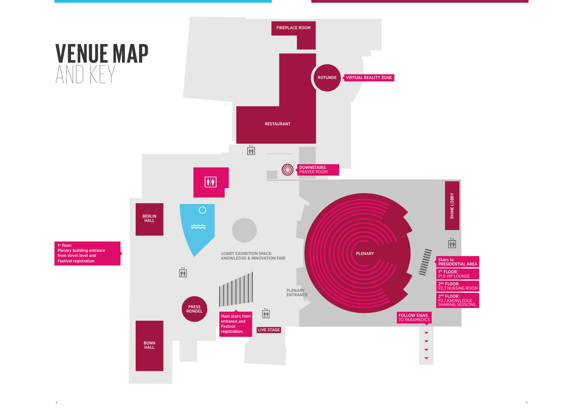

P1.5 VIP LOUNGE

PRESIDENTIAL AREA

P2.3 NURSING ROOM

P2.7 KNOWLEDGE SHARING SESSIONS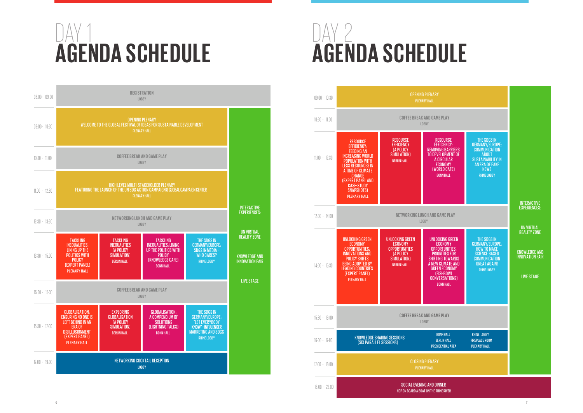# DAY 1 **AGENDA SCHEDULE**

# DAY 2 **AGENDA SCHEDULE**

#### 08:00 - 09:00 09:00 - 10:30 - - - 10:30 - 11.00  $11:00 - 12:30$  $12:30 - 13:30$ 13:30 - 15:00 15:00 - 15:30  $15:30 - 17:00$ 17:00 - 19:00 TACKLING INEQUALITIES: LINING UP THE POLITICS WITH POLICY (EXPERT PANEL) PLENARY HALL TACKLING INEQUALITIES (A POLICY SIMULATION) BERLIN HALL TACKLING INFOUALITIES: LINING UP THE POLITICS WITH POLICY (KNOWLEDGE CAFE) BONN HALL THE SDGS IN GERMANY/EUROPE:<br>SDGS IN MEDIA -WHO CARES? RHINE LOBBY GLOBALISATION: ENSURING NO ONE IS LEFT BEHIND IN AN ERA OF DISILLUSIONMENT (EXPERT PANEL) PLENARY HALL EXPLORING **GLOBALISATION** (A POLICY SIMULATION) BERLIN HALL GLOBALISATION: A COMPENDIUM OF SOLUTIONS (LIGHTNING TALKS) BONN HALL THE SDGS IN GERMANY/EUROPE: "LET EVERYBODY<br>KNOW" - INFLUENCER MARKETING AND SDGS RHINE LOBBY INTERACTIVE EXPERIENCES: UN VIRTUAL REALITY ZONE KNOWLEDGE AND INNOVATION FAIR LIVE STAGE **NETWORKING LUNCH AND GAME PLAY**  LOBBY **COFFEE BREAK AND GAME PLAY** LOBBY NETWORKING COCKTAIL RECEPTION LOBBY HIGH LEVEL MULTI-STAKEHOLDER PLENARY FEATURING THE LAUNCH OF THE UN SDG ACTION CAMPAIGN & GLOBAL CAMPAIGN CENTER PLENARY HALL **COFFEE BREAK AND GAME PLAY** LOBBY OPENING PLENARY WELCOME TO THE GLOBAL FESTIVAL OF IDEAS FOR SUSTAINABLE DEVELOPMENT PLENARY HALL **REGISTRATION** LOBBY 09:00 - 10:30

| $09:00 - 10:30$ | <b>OPENING PLENARY</b><br><b>PLENARY HALL</b>                                                                                                                                                                                                                                  |                                                                                                                    |                                                                                                                                                                                |
|-----------------|--------------------------------------------------------------------------------------------------------------------------------------------------------------------------------------------------------------------------------------------------------------------------------|--------------------------------------------------------------------------------------------------------------------|--------------------------------------------------------------------------------------------------------------------------------------------------------------------------------|
| $10:30 - 11.00$ | <b>COFFEE BREAK AND GAME PL.</b><br><b>LOBBY</b>                                                                                                                                                                                                                               |                                                                                                                    |                                                                                                                                                                                |
| $11:00 - 12:30$ | <b>RESOURCE</b><br><b>EFFICIENCY:</b><br><b>FEEDING AN</b><br><b>INCREASING WORLD</b><br><b>POPULATION WITH</b><br><b>LESS RESOURCES IN</b><br>A TIME OF CLIMATE<br><b>CHANGE</b><br><b>(EXPERT PANEL AND</b><br><b>CASE-STUDY</b><br><b>SNAPSHOTS)</b><br><b>PLENARY HALL</b> | <b>RESOURCE</b><br><b>EFFICIENCY</b><br><b>(A POLICY</b><br>SIMULATION)<br><b>BERLIN HALL</b>                      | <b>RESOU</b><br><b>EFFICIE</b><br><b>REMOVING E</b><br><b>TO DEVELOF</b><br>A CIRCL<br><b>ECONO</b><br>(WORLD<br><b>BONNH</b>                                                  |
| $12:30 - 14:00$ | NETWORKING LUNCH AND GAME<br><b>LOBBY</b>                                                                                                                                                                                                                                      |                                                                                                                    |                                                                                                                                                                                |
| $14:00 - 15:30$ | <b>UNLOCKING GREEN</b><br><b>ECONOMY</b><br><b>OPPORTUNITIES:</b><br><b>INNOVATIONS AND</b><br><b>POLICY SHIFTS</b><br><b>BEING ADOPTED BY</b><br><b>LEADING COUNTRIES</b><br>(EXPERT PANEL)<br><b>PLENARY HALL</b>                                                            | <b>UNLOCKING GREEN</b><br><b>ECONOMY</b><br><b>OPPORTUNITIES</b><br>(A POLICY<br>SIMULATION)<br><b>BERLIN HALL</b> | <b>UNLOCKIN</b><br><b>ECONO</b><br><b>OPPORTU</b><br><b>PRIORITI</b><br><b>SHIFTING T</b><br><b>A NEW CLIN</b><br><b>GREEN EC</b><br>(FISHB<br><b>CONVERS</b><br><b>BONN H</b> |
| $15:30 - 16:00$ | <b>COFFEE BREAK AND GAME PL.</b><br><b>LOBBY</b>                                                                                                                                                                                                                               |                                                                                                                    |                                                                                                                                                                                |
| $16:00 - 17:00$ | <b>KNOWLEDGE SHARING SESSIONS</b><br>(SIX PARALLEL SESSIONS)                                                                                                                                                                                                                   |                                                                                                                    | <b>BONN H</b><br><b>BERLIN</b><br><b>PRESIDENTI</b>                                                                                                                            |
| $17:00 - 18:00$ | <b>CLOSING PLENARY</b><br><b>PLENARY HALL</b>                                                                                                                                                                                                                                  |                                                                                                                    |                                                                                                                                                                                |
| $18:00 - 22:00$ | <b>SOCIAL EVENING AND DINNER</b><br>HOP ON BOARD A BOAT ON THE RHINE R                                                                                                                                                                                                         |                                                                                                                    |                                                                                                                                                                                |





E RIVER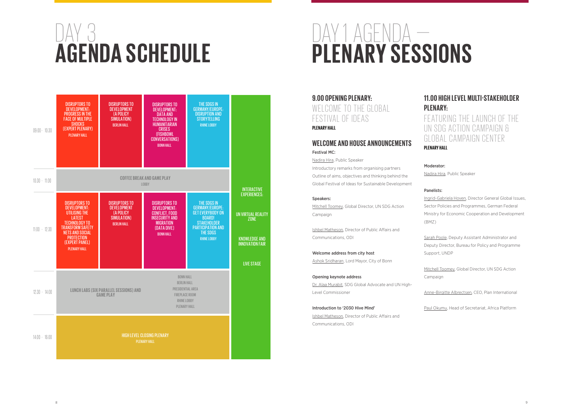**9.00 OPENING PLENARY:**  WELCOME TO THE GLOBAL FESTIVAL OF IDEAS **PLENARY HALL**

## **WELCOME AND HOUSE ANNOUNCEMENTS**

Festival MC: Nadira Hira, Public Speaker

Introductory remarks from organising partners Outline of aims, objectives and thinking behind the Global Festival of Ideas for Sustainable Development

#### Speakers:

Mitchell Toomey, Global Director, UN SDG Action Campaign

Ishbel Matheson, Director of Public Affairs and Communications, ODI

Welcome address from city host Ashok Sridharan, Lord Mayor, City of Bonn

Opening keynote address Dr. Alaa Murabit, SDG Global Advocate and UN High-Level Commissioner

Introduction to '2030 Hive Mind' Ishbel Matheson, Director of Public Affairs and Communications, ODI

# DAY 3 **AGENDA SCHEDULE**

## **11.00 HIGH LEVEL MULTI-STAKEHOLDER**  FEATURING THE LAUNCH OF THE UN SDG ACTION CAMPAIGN & GLOBAL CAMPAIGN CENTER

# **PLENARY: PLENARY HALL**

Moderator:

Nadira Hira, Public Speaker

#### Panelists:

Ingrid-Gabriela Hoven, Director General Global Issues, Sector Policies and Programmes, German Federal Ministry for Economic Cooperation and Development

(BMZ)

Sarah Poole, Deputy Assistant Administrator and Deputy Director, Bureau for Policy and Programme

Support, UNDP

Mitchell Toomey, Global Director, UN SDG Action Campaign

Anne-Birgitte Albrectsen, CEO, Plan International

Paul Okumu, Head of Secretariat, Africa Platform

DAY 1 AGENDA — **PLENARY SESSIONS**

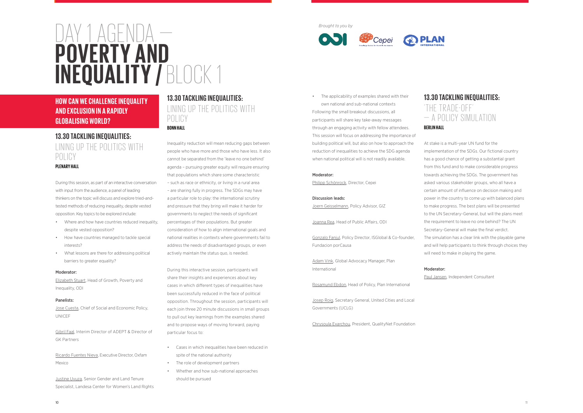• The applicability of examples shared with their own national and sub-national contexts Following the small breakout discussions, all participants will share key take-away messages through an engaging activity with fellow attendees. This session will focus on addressing the importance of building political will, but also on how to approach the reduction of inequalities to achieve the SDG agenda when national political will is not readily available.

#### Moderator:

Philipp Schönrock, Director, Cepei

### Discussion leads:

Joern Geisselmann, Policy Advisor, GIZ

Joanna Rea, Head of Public Affairs, ODI

Gonzalo Fanjul, Policy Director, ISGlobal & Co-founder, Fundacion porCausa

Adam Vink, Global Advocacy Manager, Plan International

Rosamund Ebdon, Head of Policy, Plan International

Josep Roig, Secretary General, United Cities and Local Governments (UCLG)

Chrysoula Exarchou, President, QualityNet Foundation

## **13.30 TACKLING INEQUALITIES:**  'THE TRADE-OFF' — A POLICY SIMULATION

#### **BERLIN HALL**

**Justine Uvuza, Senior Gender and Land Tenure** Specialist, Landesa Center for Women's Land Rights At stake is a multi-year UN fund for the implementation of the SDGs. Our fictional country has a good chance of getting a substantial grant from this fund and to make considerable progress towards achieving the SDGs. The government has asked various stakeholder groups, who all have a certain amount of influence on decision making and power in the country to come up with balanced plans to make progress. The best plans will be presented to the UN Secretary-General, but will the plans meet the requirement to leave no one behind? The UN Secretary-General will make the final verdict. The simulation has a clear link with the playable game and will help participants to think through choices they will need to make in playing the game.



## Moderator:

Paul Jansen, Independent Consultant

10

## **13.30 TACKLING INEQUALITIES:**  LINING UP THE POLITICS WITH POLICY **PLENARY HALL**

During this session, as part of an interactive conversation with input from the audience, a panel of leading thinkers on the topic will discuss and explore tried-andtested methods of reducing inequality, despite vested opposition. Key topics to be explored include:

- Where and how have countries reduced inequality, despite vested opposition?
- How have countries managed to tackle special interests?
- What lessons are there for addressing political barriers to greater equality?

#### Moderator:

Elizabeth Stuart, Head of Growth, Poverty and Inequality, ODI

#### Panelists:

Jose Cuesta, Chief of Social and Economic Policy, UNICEF

Gibril Faal, Interim Director of ADEPT & Director of GK Partners

Ricardo Fuentes Nieva, Executive Director, Oxfam Mexico

## **13.30 TACKLING INEQUALITIES:**  LINING UP THE POLITICS WITH POLICY **BONN HALL**

Inequality reduction will mean reducing gaps between people who have more and those who have less. It also cannot be separated from the 'leave no one behind' agenda – pursuing greater equity will require ensuring that populations which share some characteristic – such as race or ethnicity, or living in a rural area – are sharing fully in progress. The SDGs may have a particular role to play: the international scrutiny and pressure that they bring will make it harder for governments to neglect the needs of significant percentages of their populations. But greater consideration of how to align international goals and national realities in contexts where governments fail to address the needs of disadvantaged groups, or even actively maintain the status quo, is needed.

During this interactive session, participants will share their insights and experiences about key cases in which different types of inequalities have been successfully reduced in the face of political opposition. Throughout the session, participants will each join three 20 minute discussions in small groups to pull out key learnings from the examples shared and to propose ways of moving forward, paying particular focus to:

- Cases in which inequalities have been reduced in spite of the national authority
- The role of development partners
- Whether and how sub-national approaches should be pursued

DAY 1 AGENDA —

**POVERTY AND** 

**INEQUALITY /** BLOCK 1

## **HOW CAN WE CHALLENGE INEQUALITY AND EXCLUSION IN A RAPIDLY GLOBALISING WORLD?**

*Brought to you by*





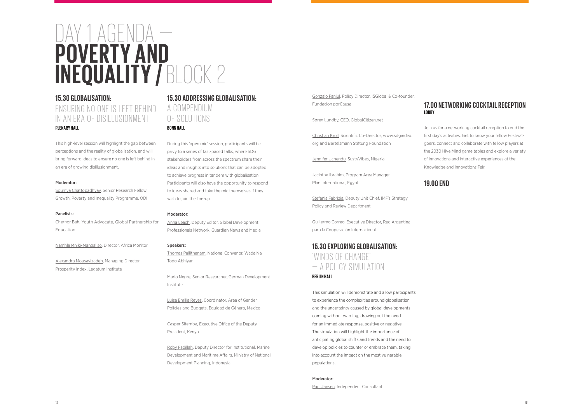## DAY 1 AGENDA — **POVERTY AND INEQUALITY /** BLOCK 2

## **15.30 GLOBALISATION:**  ENSURING NO ONE IS LEFT BEHIND IN AN ERA OF DISILLUSIONMENT **PLENARY HALL**

This high-level session will highlight the gap between perceptions and the reality of globalisation, and will bring forward ideas to ensure no one is left behind in an era of growing disillusionment.

#### Moderator:

Soumya Chattopadhyay, Senior Research Fellow, Growth, Poverty and Inequality Programme, ODI

#### Panelists:

Chernor Bah, Youth Advocate, Global Partnership for Education

Namhla Mniki-Mangaliso, Director, Africa Monitor

Alexandra Mousavizadeh, Managing Director, Prosperity Index, Legatum Institute

### **15.30 ADDRESSING GLOBALISATION:**  A COMPENDIUM

OF SOLUTIONS

#### **BONN HALL**

During this 'open mic' session, participants will be privy to a series of fast-paced talks, where SDG stakeholders from across the spectrum share their ideas and insights into solutions that can be adopted to achieve progress in tandem with globalisation. Participants will also have the opportunity to respond to ideas shared and take the mic themselves if they wish to join the line-up.

#### Moderator:

Anna Leach, Deputy Editor, Global Development Professionals Network, Guardian News and Media

#### Speakers:

Thomas Pallithanam, National Convenor, Wada Na Todo Abhiyan

Mario Negre, Senior Researcher, German Development Institute

Luisa Emilia Reyes, Coordinator, Area of Gender Policies and Budgets, Equidad de Género, Mexico

Casper Sitemba, Executive Office of the Deputy President, Kenya

Roby Fadillah, Deputy Director for Institutional, Marine Development and Maritime Affairs, Ministry of National Development Planning, Indonesia

Gonzalo Fanjul, Policy Director, ISGlobal & Co-founder, Fundacion porCausa

Søren Lundby, CEO, GlobalCitizen.net

Christian Kroll, Scientific Co-Director, www.sdgindex. org and Bertelsmann Stiftung Foundation

Jennifer Uchendu, SustyVibes, Nigeria

Jacinthe Ibrahim, Program Area Manager, Plan International, Egypt

Stefania Fabrizia, Deputy Unit Chief, IMF's Strategy, Policy and Review Department

Guillermo Correo, Executive Director, Red Argentina para la Cooperación Internacional

## **15.30 EXPLORING GLOBALISATION:** 'WINDS OF CHANGE' — A POLICY SIMULATION **BERLIN HALL**

This simulation will demonstrate and allow participants to experience the complexities around globalisation and the uncertainty caused by global developments coming without warning, drawing out the need for an immediate response, positive or negative. The simulation will highlight the importance of anticipating global shifts and trends and the need to develop policies to counter or embrace them, taking into account the impact on the most vulnerable populations.

#### Moderator:

Paul Jansen, Independent Consultant

## **17.00 NETWORKING COCKTAIL RECEPTION**

**LOBBY**

Join us for a networking cocktail reception to end the first day's activities. Get to know your fellow Festivalgoers, connect and collaborate with fellow players at the 2030 Hive Mind game tables and explore a variety of innovations and interactive experiences at the Knowledge and Innovations Fair.

**19.00 END**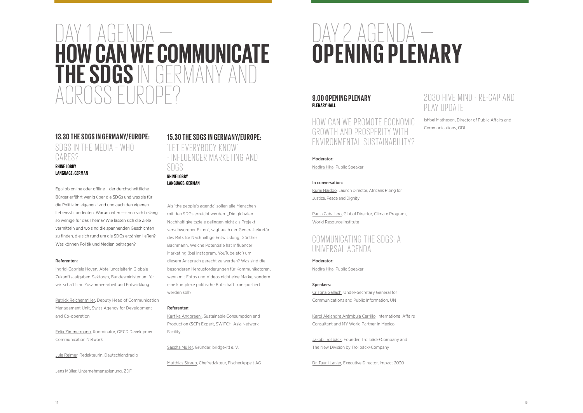## DAY 2 AGENDA — **OPENING PLENARY**

#### **9.00 OPENING PLENARY PLENARY HALL**

## HOW CAN WE PROMOTE ECONOMIC GROWTH AND PROSPERITY WITH ENVIRONMENTAL SUSTAINABILITY?

Moderator:

Nadira Hira, Public Speaker

## COMMUNICATING THE SDGS: A UNIVERSAL AGENDA

#### In conversation:

Kumi Naidoo, Launch Director, Africans Rising for Justice, Peace and Dignity

Paula Caballero, Global Director, Climate Program, World Resource Institute

Moderator: Nadira Hira, Public Speaker

## DAY 1 AGENDA — **HOW CAN WE COMMUNICATE THE SDGS** IN GERMANY AND ROSS EUR

#### Speakers:

## **13.30 THE SDGS IN GERMANY/EUROPE:** SDGS IN THE MEDIA - WHO CARES?

Cristina Gallach, Under-Secretary General for Communications and Public Information, UN

Karol Alejandra Arámbula Carrillo, International Affairs Consultant and MY World Partner in Mexico

Jakob Trollbäck, Founder, Trollbäck+Company and The New Division by Trollbäck+Company

Dr. Tauni Lanier, Executive Director, Impact 2030

Ishbel Matheson, Director of Public Affairs and Communications, ODI



## 2030 HIVE MIND - RE-CAP AND PLAY UPDATE

#### **RHINE LOBBY LANGUAGE: GERMAN**

Egal ob online oder offline – der durchschnittliche Bürger erfährt wenig über die SDGs und was sie für die Politik im eigenen Land und auch den eigenen Lebensstil bedeuten. Warum interessieren sich bislang so wenige für das Thema? Wie lassen sich die Ziele vermitteln und wo sind die spannenden Geschichten zu finden, die sich rund um die SDGs erzählen ließen? Was können Politik und Medien beitragen?

#### Referenten:

Ingrid-Gabriela Hoven, Abteilungsleiterin Globale Zukunftsaufgaben-Sektoren, Bundesministerium für wirtschaftliche Zusammenarbeit und Entwicklung

Patrick Reichenmiller, Deputy Head of Communication Management Unit, Swiss Agency for Development and Co-operation

Felix Zimmermann, Koordinator, OECD Development Communication Network

Jule Reimer, Redakteurin, Deutschlandradio

Jens Müller, Unternehmensplanung, ZDF

## **15.30 THE SDGS IN GERMANY/EUROPE:**  'LET EVERYBODY KNOW - INFLUENCER MARKETING AND SDGS

**RHINE LOBBY LANGUAGE: GERMAN**

Als 'the people's agenda' sollen alle Menschen mit den SDGs erreicht werden. "Die globalen Nachhaltigkeitsziele gelingen nicht als Projekt verschworener Eliten", sagt auch der Generalsekretär des Rats für Nachhaltige Entwicklung, Günther Bachmann. Welche Potentiale hat Influencer Marketing (bei Instagram, YouTube etc.) um diesem Anspruch gerecht zu werden? Was sind die besonderen Herausforderungen für Kommunikatoren, wenn mit Fotos und Videos nicht eine Marke, sondern eine komplexe politische Botschaft transportiert werden soll?

#### Referenten:

Kartika Anggraeni, Sustainable Consumption and Production (SCP) Expert, SWITCH-Asia Network Facility

Sascha Müller, Gründer, bridge-it! e. V.

Matthias Straub, Chefredakteur, FischerAppelt AG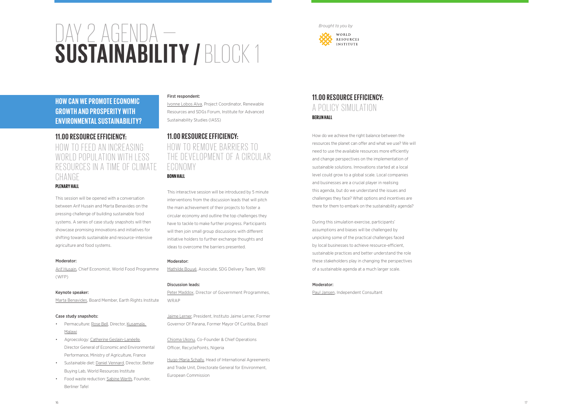#### 16 17

# DAY 2 AGENDA — **SUSTAINABILITY /** BLOCK 1

## **11.00 RESOURCE EFFICIENCY:**  HOW TO FEED AN INCREASING WORLD POPULATION WITH LESS RESOURCES IN A TIME OF CLIMATE CHANGE

#### **PLENARY HALL**

Arif Husain, Chief Economist, World Food Programme (WFP)

This session will be opened with a conversation between Arif Husain and Marta Benavides on the pressing challenge of building sustainable food systems. A series of case study snapshots will then showcase promising innovations and initiatives for shifting towards sustainable and resource-intensive agriculture and food systems.

- Permaculture: Rose Bell, Director, Kusamala. Malawi
- Agroecology: Catherine Geslain-Lanéelle, Director General of Economic and Environmental Performance, Ministry of Agriculture, France
- Sustainable diet: Daniel Vennard, Director, Better Buying Lab, World Resources Institute
- Food waste reduction: Sabine Werth, Founder, Berliner Tafel

#### Moderator:

#### Keynote speaker:

Marta Benavides, Board Member, Earth Rights Institute

#### Case study snapshots:

#### First respondent:

Ivonne Lobos Alva, Project Coordinator, Renewable Resources and SDGs Forum, Institute for Advanced Sustainability Studies (IASS)

## **11.00 RESOURCE EFFICIENCY:**  HOW TO REMOVE BARRIERS TO THE DEVELOPMENT OF A CIRCULAR ECONOMY **BONN HALL**

This interactive session will be introduced by 5 minute interventions from the discussion leads that will pitch the main achievement of their projects to foster a circular economy and outline the top challenges they have to tackle to make further progress. Participants

will then join small group discussions with different initiative holders to further exchange thoughts and ideas to overcome the barriers presented.

#### Moderator:

Mathilde Bouyé, Associate, SDG Delivery Team, WRI

#### Discussion leads:

Peter Maddox, Director of Government Programmes, WRAP

Jaime Lerner, President, Instituto Jaime Lerner, Former Governor Of Parana, Former Mayor Of Curitiba, Brazil

Chioma Ukonu, Co-Founder & Chief Operations Officer, RecyclePoints, Nigeria

Hugo-Maria Schally, Head of International Agreements and Trade Unit, Directorate General for Environment, European Commission

## **11.00 RESOURCE EFFICIENCY:**  A POLICY SIMULATION **BERLIN HALL**

How do we achieve the right balance between the resources the planet can offer and what we use? We will need to use the available resources more efficiently and change perspectives on the implementation of sustainable solutions. Innovations started at a local level could grow to a global scale. Local companies and businesses are a crucial player in realising this agenda, but do we understand the issues and challenges they face? What options and incentives are there for them to embark on the sustainability agenda?

During this simulation exercise, participants' assumptions and biases will be challenged by unpicking some of the practical challenges faced by local businesses to achieve resource-efficient, sustainable practices and better understand the role these stakeholders play in changing the perspectives of a sustainable agenda at a much larger scale.

#### Moderator:

Paul Jansen, Independent Consultant

## **HOW CAN WE PROMOTE ECONOMIC GROWTH AND PROSPERITY WITH ENVIRONMENTAL SUSTAINABILITY?**

#### *Brought to you by*

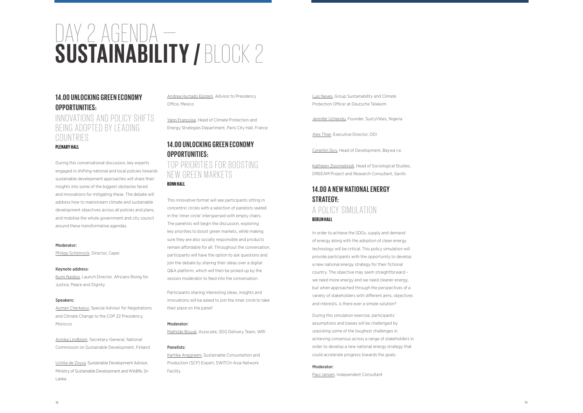# DAY 2 AGENDA — **SUSTAINABILITY /** BLOCK 2

## **14.00 UNLOCKING GREEN ECONOMY OPPORTUNITIES:**

## INNOVATIONS AND POLICY SHIFTS BEING ADOPTED BY LEADING COUNTRIES

#### **PLENARY HALL**

During this conversational discussion, key experts engaged in shifting national and local policies towards sustainable development approaches will share their insights into some of the biggest obstacles faced and innovations for mitigating these. The debate will address how to mainstream climate and sustainable development objectives across all policies and plans, and mobilise the whole government and city council around these transformative agendas.

#### Moderator:

Philipp Schönrock, Director, Cepei

## TOP PRIORITIES FOR BOOSTING NEW GREEN MARKETS **BONN HALL**

#### Keynote address:

Kumi Naidoo, Launch Director, Africans Rising for Justice, Peace and Dignity

#### Speakers:

Ayman Cherkaoui, Special Advisor for Negotiations and Climate Change to the COP 22 Presidency, Morocco

Annika Lindblom, Secretary-General, National Commission on Sustainable Development, Finland

Uchita de Zoysa, Sustainable Development Advisor, Ministry of Sustainable Development and Wildlife, Sri Lanka

Andrea Hurtado Epstein, Advisor to Presidency Office, Mexico

Yann Françoise, Head of Climate Protection and Energy Strategies Department, Paris City Hall, France

## **14.00 UNLOCKING GREEN ECONOMY OPPORTUNITIES:**

This innovative format will see participants sitting in concentric circles with a selection of panelists seated in the 'inner circle' interspersed with empty chairs. The panelists will begin the discussion, exploring key priorities to boost green markets, while making sure they are also socially responsible and products remain affordable for all. Throughout the conversation, participants will have the option to ask questions and join the debate by sharing their ideas over a digital Q&A platform, which will then be picked up by the session moderator to feed into the conversation.

Participants sharing interesting ideas, insights and innovations will be asked to join the inner circle to take their place on the panel!

#### Moderator:

Mathilde Bouyé, Associate, SDG Delivery Team, WRI

#### Panelists:

Kartika Anggraeni, Sustainable Consumption and Production (SCP) Expert, SWITCH-Asia Network Facility

Luis Neves, Group Sustainability and Climate Protection Officer at Deutsche Telekom

Jennifer Uchendu, Founder, SustyVibes, Nigeria

Alex Thier, Executive Director, ODI

Corentin Sivy, Head of Development, Baywa r.e.

Kathleen Zoonnekindt, Head of Sociological Studies, DREEAM Project and Research Consultant, Savills

## **14.00 A NEW NATIONAL ENERGY STRATEGY:**

## A POLICY SIMULATION **BERLIN HALL**

In order to achieve the SDGs, supply and demand of energy along with the adoption of clean energy technology will be critical. This policy simulation will provide participants with the opportunity to develop a new national energy strategy for their fictional country. The objective may seem straightforward – we need more energy and we need cleaner energy, but when approached through the perspectives of a variety of stakeholders with different aims, objectives and interests, is there ever a simple solution?

During this simulation exercise, participants' assumptions and biases will be challenged by unpicking some of the toughest challenges in achieving consensus across a range of stakeholders in order to develop a new national energy strategy that could accelerate progress towards the goals.

#### Moderator:

Paul Jansen, Independent Consultant

#### 18<br>18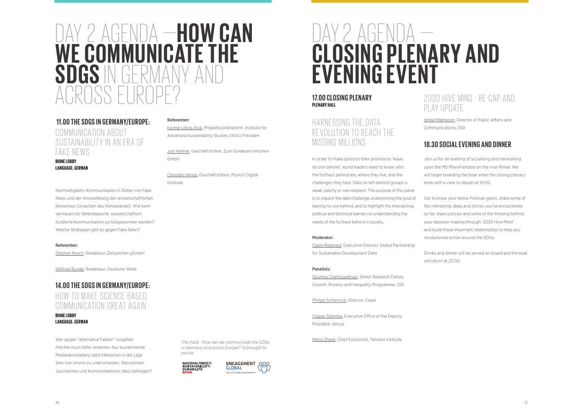## DAY 2 AGENDA —**HOW CAN**  WE COMMUNICATE THE **SDGS IN GERMAN** ACROSS EUROPE?

## **11.00 THE SDGS IN GERMANY/EUROPE:** COMMUNICATION ABOUT SUSTAINABILITY IN AN ERA OF FAKE NEWS

#### **RHINE LOBBY LANGUAGE: GERMAN**

Nachhaltigkeits-Kommunikation in Zeiten von Fake News und der Anzweifelung des wissenschaftlichen Konsenses (Ursachen des Klimawandel). Wie kann vertrauen für faktenbasierte, wissenschaftlich fundierte Kommunikation zurückgewonnen werden? Welche Strategien gibt es gegen Fake News?

#### Referenten:

Stephan Kosch, Redakteur, Zeitzeichen gGmbH

Wilfried Runde, Redakteur, Deutsche Welle

# DAY 2 AGENDA — **CLOSING PLENARY AND EVENING EVENT**

## **14.00 THE SDGS IN GERMANY/EUROPE:** HOW TO MAKE SCIENCE-BASED COMMUNICATION GREAT AGAIN **RHINE LOBBY LANGUAGE: GERMAN**

Wer gegen "alternative Fakten" vorgehen möchte muss tiefer ansetzen. Nur ausreichende Medienkompetenz setzt Menschen in die Lage Sinn von Unsinn zu unterscheiden. Was können Journalisten und Kommunikatoren dazu beitragen? Referenten:

Ivonne Lobos Alva, Projektkoordinatorin, Institute for Advanced Sustainability Studies (IASS) Potsdam

Jost Köllner, Geschäftsführer, Zum Goldenen Hirschen

GmbH

Christian Henne, Geschäftsführer, Munich Digital

Institute

### **17.00 CLOSING PLENARY PLENARY HALL**

## HARNESSING THE DATA REVOLUTION TO REACH THE MISSING MILLIONS

In order to make good on their promise to 'leave no one behind', world leaders need to know who the furthest behind are, where they live, and the challenges they face. Data on left-behind groups is weak, patchy or non-existent. The purpose of this panel is to unpack the data challenge underpinning the goal of leaving no one behind, and to highlight the intersecting political and technical barriers to understanding the needs of the furthest behind in society.

#### Moderator:

Claire Melamed, Executive Director, Global Partnership for Sustainable Development Data

#### Panelists:

Soumya Chattopadhyay, Senior Research Fellow, Growth, Poverty and Inequality Programme, ODI

Philipp Schönrock, Director, Cepei

Casper Sitemba, Executive Office of the Deputy President, Kenya

Meng Zhaoli, Chief Economist, Tencent Institute

20<br>20

## 2030 HIVE MIND - RE-CAP AND PLAY UPDATE

Ishbel Matheson, Director of Public Affairs and Communications, ODI

## **18.30 SOCIAL EVENING AND DINNER**

Join us for an evening of socialising and networking upon the MS RheinFantasie on the river Rhine! We will begin boarding the boat when the closing plenary ends with a view to depart at 19.00.

Get to know your fellow Festival-goers, share some of the interesting ideas and stories you've encountered so far, share policies and some of the thinking behind your decision-making through '2030 Hive Mind' and build those important relationships to help you revolutionise action around the SDGs.

Drinks and dinner will be served on board and the boat will return at 22.00.

*The track: 'How can we communicate the SDGs in Germany and across Europe?' is brought to you by*



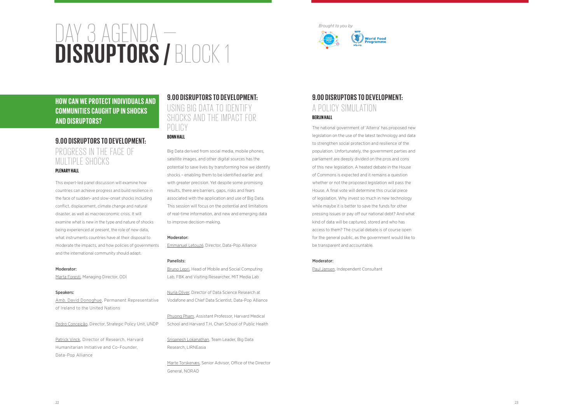#### 23

## **9.00 DISRUPTORS TO DEVELOPMENT:**  A POLICY SIMULATION **BERLIN HALL**

**World Food** 

The national government of 'Alterra' has proposed new legislation on the use of the latest technology and data to strengthen social protection and resilience of the population. Unfortunately, the government parties and parliament are deeply divided on the pros and cons of this new legislation. A heated debate in the House of Commons is expected and it remains a question whether or not the proposed legislation will pass the House. A final vote will determine this crucial piece of legislation. Why invest so much in new technology while maybe it is better to save the funds for other pressing issues or pay off our national debt? And what kind of data will be captured, stored and who has access to them? The crucial debate is of course open for the general public, as the government would like to be transparent and accountable.

#### Moderator:

Paul Jansen, Independent Consultant

## **9.00 DISRUPTORS TO DEVELOPMENT:**  USING BIG DATA TO IDENTIFY SHOCKS AND THE IMPACT FOR POLICY

# DAY 3 AGENDA — **DISRUPTORS /** BLOCK 1

## **9.00 DISRUPTORS TO DEVELOPMENT:**  PROGRESS IN THE FACE OF MULTIPLE SHOCKS

#### **PLENARY HALL**

This expert-led panel discussion will examine how countries can achieve progress and build resilience in the face of sudden- and slow-onset shocks including conflict, displacement, climate change and natural disaster, as well as macroeconomic crisis. It will examine what is new in the type and nature of shocks being experienced at present, the role of new data, what instruments countries have at their disposal to moderate the impacts, and how policies of governments and the international community should adapt.

#### Moderator:

Marta Foresti, Managing Director, ODI

#### Speakers:

Amb. David Donoghue, Permanent Representative of Ireland to the United Nations

Pedro Conceição, Director, Strategic Policy Unit, UNDP

Patrick Vinck, Director of Research, Harvard Humanitarian Initiative and Co-Founder, Data-Pop Alliance

### **BONN HALL**

Big Data derived from social media, mobile phones, satellite images, and other digital sources has the potential to save lives by transforming how we identify shocks – enabling them to be identified earlier and with greater precision. Yet despite some promising results, there are barriers, gaps, risks and fears associated with the application and use of Big Data. This session will focus on the potential and limitations of real-time information, and new and emerging data to improve decision-making.

#### Moderator:

Emmanuel Letouzé, Director, Data-Pop Alliance

#### Panelists:

Bruno Lepri, Head of Mobile and Social Computing Lab, FBK and Visiting Researcher, MIT Media Lab

Nuria Oliver, Director of Data Science Research at Vodafone and Chief Data Scientist, Data-Pop Alliance

Phuong Pham, Assistant Professor, Harvard Medical School and Harvard T.H. Chan School of Public Health

Sriganesh Lokanathan, Team Leader, Big Data Research, LIRNEasia

Marte Torskenæs, Senior Advisor, Office of the Director General, NORAD

**HOW CAN WE PROTECT INDIVIDUALS AND COMMUNITIES CAUGHT UP IN SHOCKS AND DISRUPTORS?**

*Brought to you by*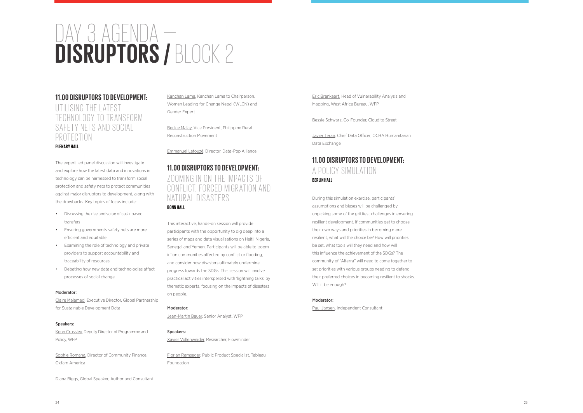# DAY 3 AGENDA — **DISRUPTORS /** BLOCK 2

### **11.00 DISRUPTORS TO DEVELOPMENT:**

UTILISING THE LATEST TECHNOLOGY TO TRANSFORM SAFETY NETS AND SOCIAL PROTECTION

#### **PLENARY HALL**

The expert-led panel discussion will investigate and explore how the latest data and innovations in technology can be harnessed to transform social protection and safety nets to protect communities against major disruptors to development, along with the drawbacks. Key topics of focus include:

- Discussing the rise and value of cash-based transfers
- Ensuring governments safety nets are more efficient and equitable
- Examining the role of technology and private providers to support accountability and traceability of resources
- Debating how new data and technologies affect processes of social change

## **11.00 DISRUPTORS TO DEVELOPMENT:**  ZOOMING IN ON THE IMPACTS OF CONFLICT, FORCED MIGRATION AND NATURAL DISASTERS

#### Moderator:

Claire Melamed, Executive Director, Global Partnership for Sustainable Development Data

#### Speakers:

Kenn Crossley, Deputy Director of Programme and Policy, WFP

Sophie Romana, Director of Community Finance, Oxfam America

Diana Biggs, Global Speaker, Author and Consultant

Kanchan Lama, Kanchan Lama to Chairperson, Women Leading for Change Nepal (WLCN) and Gender Expert

Beckie Malay, Vice President, Philippine Rural Reconstruction Movement

Emmanuel Letouzé, Director, Data-Pop Alliance

### **BONN HALL**

This interactive, hands-on session will provide participants with the opportunity to dig deep into a series of maps and data visualisations on Haiti, Nigeria, Senegal and Yemen. Participants will be able to 'zoom in' on communities affected by conflict or flooding, and consider how disasters ultimately undermine progress towards the SDGs. This session will involve practical activities interspersed with 'lightning talks' by thematic experts, focusing on the impacts of disasters on people.

#### Moderator:

Jean-Martin Bauer, Senior Analyst, WFP

#### Speakers:

Xavier Vollenweider, Researcher, Flowminder

Florian Ramseger, Public Product Specialist, Tableau Foundation

Eric Brankaert, Head of Vulnerability Analysis and Mapping, West Africa Bureau, WFP

Bessie Schwarz, Co-Founder, Cloud to Street

Javier Teran, Chief Data Officer, OCHA Humanitarian Data Exchange

## **11.00 DISRUPTORS TO DEVELOPMENT:**  A POLICY SIMULATION **BERLIN HALL**

During this simulation exercise, participants' assumptions and biases will be challenged by unpicking some of the grittiest challenges in ensuring resilient development. If communities get to choose their own ways and priorities in becoming more resilient, what will the choice be? How will priorities be set, what tools will they need and how will this influence the achievement of the SDGs? The community of "Alterra" will need to come together to set priorities with various groups needing to defend their preferred choices in becoming resilient to shocks. Will it be enough?

#### Moderator:

Paul Jansen, Independent Consultant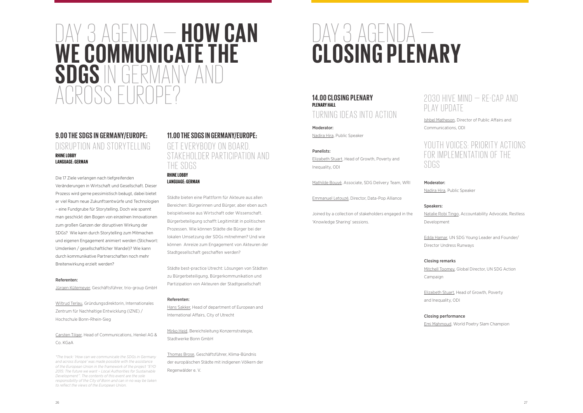## DAY 3 AGENDA — **HOW CAN WE COMMUNICATE THE SDGS IN GERMANY** ARASS ELIR

### **9.00 THE SDGS IN GERMANY/EUROPE:** DISRUPTION AND STORYTELLING **RHINE LOBBY LANGUAGE: GERMAN**

Die 17 Ziele verlangen nach tiefgreifenden Veränderungen in Wirtschaft und Gesellschaft. Dieser Prozess wird gerne pessimistisch beäugt, dabei bietet er viel Raum neue Zukunftsentwürfe und Technologien – eine Fundgrube für Storytelling. Doch wie spannt man geschickt den Bogen von einzelnen Innovationen zum großen Ganzen der disruptiven Wirkung der SDGs? Wie kann durch Storytelling zum Mitmachen und eigenen Engagement animiert werden (Stichwort: Umdenken / gesellschaftlicher Wandel)? Wie kann durch kommunikative Partnerschaften noch mehr Breitenwirkung erzielt werden?

#### Referenten:

Jürgen Kütemeyer, Geschäftsführer, trio-group GmbH

Wiltrud Terlau, Gründungsdirektorin, Internationales Zentrum für Nachhaltige Entwicklung (IZNE) / Hochschule Bonn-Rhein-Sieg

Carsten Tilger, Head of Communications, Henkel AG & Co. KGaA

*\*The track: 'How can we communicate the SDGs in Germany and across Europe' was made possible with the assistance of the European Union in the framework of the project "EYD 2015: The future we want – Local Authorities for Sustainable Development". The contents of this event are the sole responsibility of the City of Bonn and can in no way be taken to reflect the views of the European Union.*

## **11.00 THE SDGS IN GERMANY/EUROPE:**  GET EVERYBODY ON BOARD STAKEHOLDER PARTICIPATION AND THE SDGS **RHINE LOBBY**

**LANGUAGE: GERMAN**

Städte bieten eine Plattform für Akteure aus allen Bereichen: Bürgerinnen und Bürger, aber eben auch beispielsweise aus Wirtschaft oder Wissenschaft. Bürgerbeteiligung schafft Legitimität in politischen Prozessen. Wie können Städte die Bürger bei der lokalen Umsetzung der SDGs mitnehmen? Und wie können Anreize zum Engagement von Akteuren der Stadtgesellschaft geschaffen werden?

Städte best-practice Utrecht: Lösungen von Städten zu Bürgerbeteiligung, Bürgerkommunikation und Partizipation von Akteuren der Stadtgesellschaft

#### Referenten:

Hans Sakker, Head of department of European and International Affairs, City of Utrecht

Mirko Heid, Bereichsleitung Konzernstrategie, Stadtwerke Bonn GmbH

Thomas Brose, Geschäftsführer, Klima-Bündnis der europäischen Städte mit indigenen Völkern der Regenwälder e. V.

## DAY 3 AGENDA — **CLOSING PLENARY**

### **14.00 CLOSING PLENARY PLENARY HALL** TURNING IDEAS INTO ACTION

Moderator:

Nadira Hira, Public Speaker

#### Panelists:

Elizabeth Stuart, Head of Growth, Poverty and Inequality, ODI

Mathilde Bouyé, Associate, SDG Delivery Team, WRI

Emmanuel Letouzé, Director, Data-Pop Alliance

Joined by a collection of stakeholders engaged in the 'Knowledge Sharing' sessions.

Ishbel Matheson, Director of Public Affairs and Communications, ODI

SDGS

### Moderator:

Nadira Hira, Public Speaker

## Speakers:

Natalie Robi Tingo, Accountability Advocate, Restless Development

Edda Hamar, UN SDG Young Leader and Founder/ Director Undress Runways

### Closing remarks

Mitchell Toomey, Global Director, UN SDG Action Campaign

Elizabeth Stuart, Head of Growth, Poverty and Inequality, ODI

## $2030$  HIVE MIND  $-$  RE-CAP AND PLAY UPDATE

## YOUTH VOICES: PRIORITY ACTIONS FOR IMPLEMENTATION OF THE

### Closing performance

Emi Mahmoud, World Poetry Slam Champion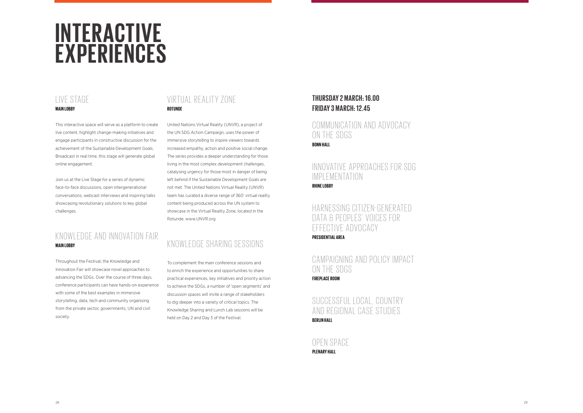#### 28 29

# **INTERACTIVE EXPERIENCES**

## VIRTUAL REALITY ZONE **ROTUNDE**

United Nations Virtual Reality (UNVR), a project of the UN SDG Action Campaign, uses the power of immersive storytelling to inspire viewers towards increased empathy, action and positive social change. The series provides a deeper understanding for those living in the most complex development challenges, catalysing urgency for those most in danger of being left behind if the Sustainable Development Goals are not met. The United Nations Virtual Reality (UNVR) team has curated a diverse range of 360' virtual reality content being produced across the UN system to showcase in the Virtual Reality Zone, located in the Rotunde. www.UNVR.org

## KNOWLEDGE SHARING SESSIONS

To complement the main conference sessions and to enrich the experience and opportunities to share practical experiences, key initiatives and priority action to achieve the SDGs, a number of 'open segments' and discussion spaces will invite a range of stakeholders to dig deeper into a variety of critical topics. The Knowledge Sharing and Lunch Lab sessions will be held on Day 2 and Day 3 of the Festival.

## COMMUNICATION AND ADVOCACY ON THE SDGS **BONN HALL**

## INNOVATIVE APPROACHES FOR SDG IMPLEMENTATION

## LIVE STAGE **MAIN LOBBY**

## HARNESSING CITIZEN-GENERATED DATA & PEOPLES' VOICES FOR EFFECTIVE ADVOCACY **PRESIDENTIAL AREA**

## SUCCESSFUL LOCAL, COUNTRY AND REGIONAL CASE STUDIES **BERLIN HALL**

This interactive space will serve as a platform to create live content, highlight change-making initiatives and engage participants in constructive discussion for the achievement of the Sustainable Development Goals. Broadcast in real time, this stage will generate global online engagement.

Join us at the Live Stage for a series of dynamic face-to-face discussions, open intergenerational conversations, webcast interviews and inspiring talks showcasing revolutionary solutions to key global challenges.

## KNOWLEDGE AND INNOVATION FAIR **MAIN LOBBY**

Throughout the Festival, the Knowledge and Innovation Fair will showcase novel approaches to advancing the SDGs. Over the course of three days, conference participants can have hands-on experience with some of the best examples in immersive storytelling, data, tech and community organising from the private sector, governments, UN and civil society.

## **THURSDAY 2 MARCH: 16.00 FRIDAY 3 MARCH: 12.45**

**RHINE LOBBY**

CA MPA IGNING A ND POL ICY IMPACT ON THE SDGS **FIREPLACE ROOM**

OPEN SPACE **PLENARY HALL**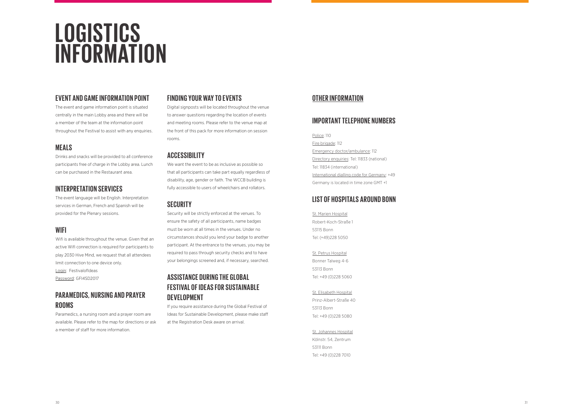# **LOGISTICS INFORMATION**

## **FINDING YOUR WAY TO EVENTS**

Digital signposts will be located throughout the venue to answer questions regarding the location of events and meeting rooms. Please refer to the venue map at the front of this pack for more information on session rooms.

### **ACCESSIBILITY**

We want the event to be as inclusive as possible so that all participants can take part equally regardless of disability, age, gender or faith. The WCCB building is fully accessible to users of wheelchairs and rollators.

## **SECURITY**

Security will be strictly enforced at the venues. To ensure the safety of all participants, name badges must be worn at all times in the venues. Under no circumstances should you lend your badge to another participant. At the entrance to the venues, you may be required to pass through security checks and to have your belongings screened and, if necessary, searched.

## **ASSISTANCE DURING THE GLOBAL FESTIVAL OF IDEAS FOR SUSTAINABLE DEVELOPMENT**

If you require assistance during the Global Festival of Ideas for Sustainable Development, please make staff at the Registration Desk aware on arrival.

### **EVENT AND GAME INFORMATION POINT**

The event and game information point is situated centrally in the main Lobby area and there will be a member of the team at the information point throughout the Festival to assist with any enquiries.

## **MEALS**

Drinks and snacks will be provided to all conference participants free of charge in the Lobby area. Lunch can be purchased in the Restaurant area.

## **INTERPRETATION SERVICES**

The event language will be English. Interpretation services in German, French and Spanish will be provided for the Plenary sessions.

## **WIFI**

Wifi is available throughout the venue. Given that an active Wifi connection is required for participants to play 2030 Hive Mind, we request that all attendees limit connection to one device only. Login: FestivalofIdeas Password: GFI4SD2017

## **PARAMEDICS, NURSING AND PRAYER ROOMS**

Paramedics, a nursing room and a prayer room are available. Please refer to the map for directions or ask a member of staff for more information.

## **OTHER INFORMATION**

### **IMPORTANT TELEPHONE NUMBERS**

#### Police: 110

Fire brigade: 112 Emergency doctor/ambulance: 112 Directory enquiries: Tel: 11833 (national) Tel: 11834 (international) International dialling code for Germany: +49 Germany is located in time zone GMT +1

### **LIST OF HOSPITALS AROUND BONN**

St. Marien Hospital Robert-Koch-Straße 1 53115 Bonn Tel: (+49)228 5050

St. Petrus Hospital Bonner Talweg 4-6 53113 Bonn Tel: +49 (0)228 5060

### St. Elisabeth Hospital Prinz-Albert-Straße 40 53113 Bonn Tel: +49 (0)228 5080

St. Johannes Hospital Kölnstr. 54, Zentrum 53111 Bonn Tel: +49 (0)228 7010